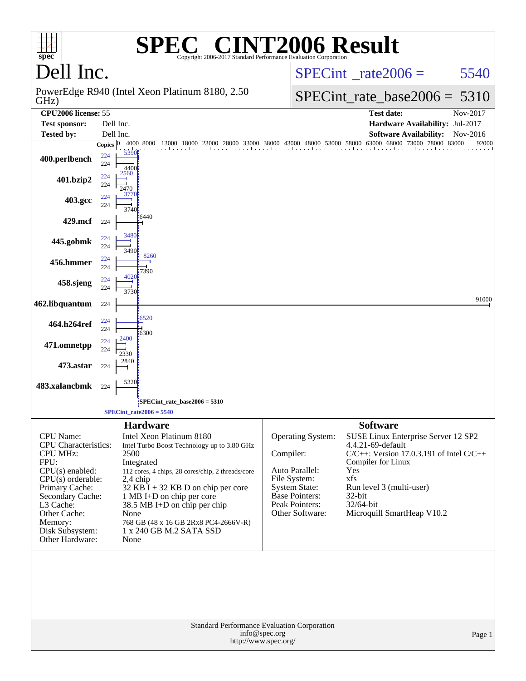| spec <sup>®</sup>                                                                                                                                                                                                                   |                                    | $\bigcap$<br>Copyright 2006-2017 Standard Performance Evaluation Corporation                                                                                                                                                                                                                                                                      |           |                                                                                                                                           | <b>INT2006 Result</b>                                                                                                                                                                                                                             |                   |
|-------------------------------------------------------------------------------------------------------------------------------------------------------------------------------------------------------------------------------------|------------------------------------|---------------------------------------------------------------------------------------------------------------------------------------------------------------------------------------------------------------------------------------------------------------------------------------------------------------------------------------------------|-----------|-------------------------------------------------------------------------------------------------------------------------------------------|---------------------------------------------------------------------------------------------------------------------------------------------------------------------------------------------------------------------------------------------------|-------------------|
| Dell Inc.                                                                                                                                                                                                                           |                                    |                                                                                                                                                                                                                                                                                                                                                   |           |                                                                                                                                           | $SPECint^{\circ}$ rate $2006 =$                                                                                                                                                                                                                   | 5540              |
| PowerEdge R940 (Intel Xeon Platinum 8180, 2.50)<br>GHz)                                                                                                                                                                             |                                    |                                                                                                                                                                                                                                                                                                                                                   |           |                                                                                                                                           | $SPECint_rate\_base2006 =$                                                                                                                                                                                                                        | 5310              |
| <b>CPU2006</b> license: 55                                                                                                                                                                                                          |                                    |                                                                                                                                                                                                                                                                                                                                                   |           | <b>Test date:</b>                                                                                                                         | Nov-2017                                                                                                                                                                                                                                          |                   |
| <b>Test sponsor:</b><br>Dell Inc.                                                                                                                                                                                                   |                                    |                                                                                                                                                                                                                                                                                                                                                   |           |                                                                                                                                           | Hardware Availability: Jul-2017                                                                                                                                                                                                                   |                   |
| <b>Tested by:</b>                                                                                                                                                                                                                   | Dell Inc.<br>Copies $ 0 $          | 4000 8000 13000 18000 23000                                                                                                                                                                                                                                                                                                                       |           | 28000 33000 38000 43000 48000 53000 58000                                                                                                 | <b>Software Availability:</b><br>63000 68000 73000 78000 83000                                                                                                                                                                                    | Nov-2016<br>92000 |
| 400.perlbench                                                                                                                                                                                                                       | 5390<br>224<br>224<br>4400         |                                                                                                                                                                                                                                                                                                                                                   |           | and an and an and an                                                                                                                      |                                                                                                                                                                                                                                                   |                   |
| 401.bzip2                                                                                                                                                                                                                           | 2560<br>224<br>224<br>2470<br>3770 |                                                                                                                                                                                                                                                                                                                                                   |           |                                                                                                                                           |                                                                                                                                                                                                                                                   |                   |
| 403.gcc                                                                                                                                                                                                                             | 224<br>224<br>3740                 |                                                                                                                                                                                                                                                                                                                                                   |           |                                                                                                                                           |                                                                                                                                                                                                                                                   |                   |
| 429.mcf                                                                                                                                                                                                                             | 224                                | 6440                                                                                                                                                                                                                                                                                                                                              |           |                                                                                                                                           |                                                                                                                                                                                                                                                   |                   |
| 445.gobmk                                                                                                                                                                                                                           | 3480<br>224<br>224<br>3490         |                                                                                                                                                                                                                                                                                                                                                   |           |                                                                                                                                           |                                                                                                                                                                                                                                                   |                   |
| 456.hmmer                                                                                                                                                                                                                           | 224<br>224<br>4020                 | 8260<br>7390                                                                                                                                                                                                                                                                                                                                      |           |                                                                                                                                           |                                                                                                                                                                                                                                                   |                   |
| 458.sjeng                                                                                                                                                                                                                           | 224<br>224<br>3730                 |                                                                                                                                                                                                                                                                                                                                                   |           |                                                                                                                                           |                                                                                                                                                                                                                                                   | 91000             |
| 462.libquantum                                                                                                                                                                                                                      | 224                                |                                                                                                                                                                                                                                                                                                                                                   |           |                                                                                                                                           |                                                                                                                                                                                                                                                   |                   |
| 464.h264ref                                                                                                                                                                                                                         | 224<br>224                         | 6520<br>6300                                                                                                                                                                                                                                                                                                                                      |           |                                                                                                                                           |                                                                                                                                                                                                                                                   |                   |
| 471.omnetpp                                                                                                                                                                                                                         | 2400<br>224<br>224<br>2330         |                                                                                                                                                                                                                                                                                                                                                   |           |                                                                                                                                           |                                                                                                                                                                                                                                                   |                   |
| 473.astar                                                                                                                                                                                                                           | 2840<br>224                        |                                                                                                                                                                                                                                                                                                                                                   |           |                                                                                                                                           |                                                                                                                                                                                                                                                   |                   |
| 483.xalancbmk                                                                                                                                                                                                                       | 5320<br>224                        |                                                                                                                                                                                                                                                                                                                                                   |           |                                                                                                                                           |                                                                                                                                                                                                                                                   |                   |
|                                                                                                                                                                                                                                     |                                    | SPECint_rate_base2006 = 5310                                                                                                                                                                                                                                                                                                                      |           |                                                                                                                                           |                                                                                                                                                                                                                                                   |                   |
|                                                                                                                                                                                                                                     |                                    | $SPECint_rate2006 = 5540$                                                                                                                                                                                                                                                                                                                         |           |                                                                                                                                           |                                                                                                                                                                                                                                                   |                   |
| <b>CPU</b> Name:<br>CPU Characteristics:<br><b>CPU MHz:</b><br>FPU:<br>$CPU(s)$ enabled:<br>$CPU(s)$ orderable:<br>Primary Cache:<br>Secondary Cache:<br>L3 Cache:<br>Other Cache:<br>Memory:<br>Disk Subsystem:<br>Other Hardware: | 2500<br>None<br>None               | <b>Hardware</b><br>Intel Xeon Platinum 8180<br>Intel Turbo Boost Technology up to 3.80 GHz<br>Integrated<br>112 cores, 4 chips, 28 cores/chip, 2 threads/core<br>2,4 chip<br>$32$ KB I + 32 KB D on chip per core<br>1 MB I+D on chip per core<br>38.5 MB I+D on chip per chip<br>768 GB (48 x 16 GB 2Rx8 PC4-2666V-R)<br>1 x 240 GB M.2 SATA SSD | Compiler: | Operating System:<br>Auto Parallel:<br>File System:<br><b>System State:</b><br><b>Base Pointers:</b><br>Peak Pointers:<br>Other Software: | <b>Software</b><br>SUSE Linux Enterprise Server 12 SP2<br>4.4.21-69-default<br>$C/C++$ : Version 17.0.3.191 of Intel $C/C++$<br>Compiler for Linux<br>Yes<br>xfs<br>Run level 3 (multi-user)<br>32-bit<br>32/64-bit<br>Microquill SmartHeap V10.2 |                   |
| Standard Performance Evaluation Corporation<br>info@spec.org<br>Page 1<br>http://www.spec.org/                                                                                                                                      |                                    |                                                                                                                                                                                                                                                                                                                                                   |           |                                                                                                                                           |                                                                                                                                                                                                                                                   |                   |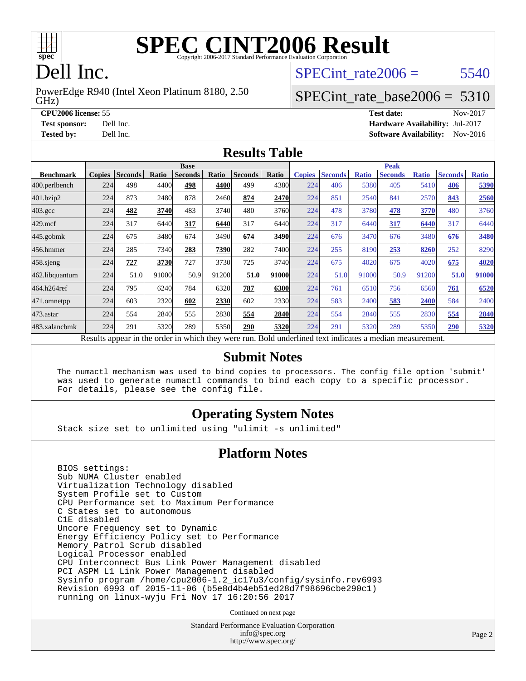

# **[SPEC CINT2006 Result](http://www.spec.org/auto/cpu2006/Docs/result-fields.html#SPECCINT2006Result)**

## Dell Inc.

GHz) PowerEdge R940 (Intel Xeon Platinum 8180, 2.50 SPECint rate $2006 = 5540$ 

### [SPECint\\_rate\\_base2006 =](http://www.spec.org/auto/cpu2006/Docs/result-fields.html#SPECintratebase2006) 5310

**[CPU2006 license:](http://www.spec.org/auto/cpu2006/Docs/result-fields.html#CPU2006license)** 55 **[Test date:](http://www.spec.org/auto/cpu2006/Docs/result-fields.html#Testdate)** Nov-2017 **[Test sponsor:](http://www.spec.org/auto/cpu2006/Docs/result-fields.html#Testsponsor)** Dell Inc. **[Hardware Availability:](http://www.spec.org/auto/cpu2006/Docs/result-fields.html#HardwareAvailability)** Jul-2017 **[Tested by:](http://www.spec.org/auto/cpu2006/Docs/result-fields.html#Testedby)** Dell Inc. **[Software Availability:](http://www.spec.org/auto/cpu2006/Docs/result-fields.html#SoftwareAvailability)** Nov-2016

#### **[Results Table](http://www.spec.org/auto/cpu2006/Docs/result-fields.html#ResultsTable)**

|                                                                                                          | <b>Base</b>   |                |       |                |       |                | <b>Peak</b> |               |                |              |                |              |                |              |
|----------------------------------------------------------------------------------------------------------|---------------|----------------|-------|----------------|-------|----------------|-------------|---------------|----------------|--------------|----------------|--------------|----------------|--------------|
| <b>Benchmark</b>                                                                                         | <b>Copies</b> | <b>Seconds</b> | Ratio | <b>Seconds</b> | Ratio | <b>Seconds</b> | Ratio       | <b>Copies</b> | <b>Seconds</b> | <b>Ratio</b> | <b>Seconds</b> | <b>Ratio</b> | <b>Seconds</b> | <b>Ratio</b> |
| 400.perlbench                                                                                            | 224           | 498            | 4400  | 498            | 4400  | 499            | 4380        | 224           | 406            | 5380         | 405            | 5410         | 406            | 5390         |
| 401.bzip2                                                                                                | 224           | 873            | 2480  | 878            | 2460  | 874            | 2470        | 224           | 851            | 2540         | 841            | 2570         | 843            | 2560         |
| $403.\mathrm{gcc}$                                                                                       | 224           | 482            | 3740  | 483            | 3740  | 480            | 3760        | 224           | 478            | 3780         | 478            | 3770         | 480            | 3760         |
| $429$ .mcf                                                                                               | 224           | 317            | 6440  | 317            | 6440  | 317            | 6440        | 224           | 317            | 6440         | 317            | 6440         | 317            | 6440         |
| 445.gobmk                                                                                                | 224           | 675            | 3480  | 674            | 3490  | 674            | 3490        | 224           | 676            | 3470         | 676            | 3480         | 676            | 3480         |
| 456.hmmer                                                                                                | 224           | 285            | 7340  | 283            | 7390  | 282            | 7400        | 224           | 255            | 8190         | 253            | 8260         | 252            | 8290         |
| $458$ .sjeng                                                                                             | 224           | 727            | 3730  | 727            | 3730  | 725            | 3740        | 224           | 675            | 4020         | 675            | 4020         | 675            | 4020         |
| 462.libquantum                                                                                           | 224           | 51.0           | 91000 | 50.9           | 91200 | 51.0           | 91000       | 224           | 51.0           | 91000        | 50.9           | 91200        | 51.0           | 91000        |
| 464.h264ref                                                                                              | 224           | 795            | 6240  | 784            | 6320  | 787            | 6300        | 224           | 761            | 6510         | 756            | 6560         | 761            | 6520         |
| 471.omnetpp                                                                                              | 224           | 603            | 2320  | 602            | 2330  | 602            | 2330        | 224           | 583            | 2400         | 583            | 2400         | 584            | 2400         |
| 473.astar                                                                                                | 224           | 554            | 2840  | 555            | 2830  | 554            | 2840        | 224           | 554            | 2840         | 555            | 2830         | 554            | 2840         |
| 483.xalancbmk                                                                                            | 224           | 291            | 5320  | 289            | 5350  | 290            | 5320        | 224           | 291            | 5320         | 289            | 5350         | 290            | 5320         |
| Results appear in the order in which they were run. Bold underlined text indicates a median measurement. |               |                |       |                |       |                |             |               |                |              |                |              |                |              |

#### **[Submit Notes](http://www.spec.org/auto/cpu2006/Docs/result-fields.html#SubmitNotes)**

 The numactl mechanism was used to bind copies to processors. The config file option 'submit' was used to generate numactl commands to bind each copy to a specific processor. For details, please see the config file.

### **[Operating System Notes](http://www.spec.org/auto/cpu2006/Docs/result-fields.html#OperatingSystemNotes)**

Stack size set to unlimited using "ulimit -s unlimited"

#### **[Platform Notes](http://www.spec.org/auto/cpu2006/Docs/result-fields.html#PlatformNotes)**

 BIOS settings: Sub NUMA Cluster enabled Virtualization Technology disabled System Profile set to Custom CPU Performance set to Maximum Performance C States set to autonomous C1E disabled Uncore Frequency set to Dynamic Energy Efficiency Policy set to Performance Memory Patrol Scrub disabled Logical Processor enabled CPU Interconnect Bus Link Power Management disabled PCI ASPM L1 Link Power Management disabled Sysinfo program /home/cpu2006-1.2\_ic17u3/config/sysinfo.rev6993 Revision 6993 of 2015-11-06 (b5e8d4b4eb51ed28d7f98696cbe290c1) running on linux-wyju Fri Nov 17 16:20:56 2017

Continued on next page

Standard Performance Evaluation Corporation [info@spec.org](mailto:info@spec.org) <http://www.spec.org/>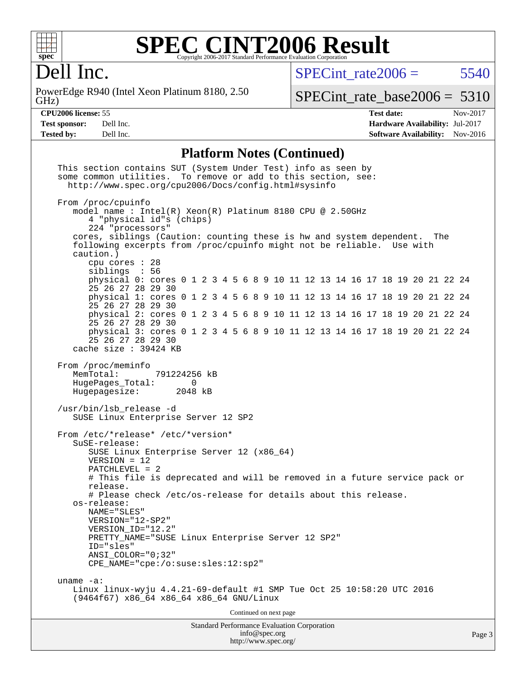

# **[SPEC CINT2006 Result](http://www.spec.org/auto/cpu2006/Docs/result-fields.html#SPECCINT2006Result)**

Dell Inc.

GHz) PowerEdge R940 (Intel Xeon Platinum 8180, 2.50  $SPECTnt_rate2006 = 5540$ 

[SPECint\\_rate\\_base2006 =](http://www.spec.org/auto/cpu2006/Docs/result-fields.html#SPECintratebase2006) 5310

**[CPU2006 license:](http://www.spec.org/auto/cpu2006/Docs/result-fields.html#CPU2006license)** 55 **[Test date:](http://www.spec.org/auto/cpu2006/Docs/result-fields.html#Testdate)** Nov-2017 **[Test sponsor:](http://www.spec.org/auto/cpu2006/Docs/result-fields.html#Testsponsor)** Dell Inc. **[Hardware Availability:](http://www.spec.org/auto/cpu2006/Docs/result-fields.html#HardwareAvailability)** Jul-2017 **[Tested by:](http://www.spec.org/auto/cpu2006/Docs/result-fields.html#Testedby)** Dell Inc. **[Software Availability:](http://www.spec.org/auto/cpu2006/Docs/result-fields.html#SoftwareAvailability)** Nov-2016

### **[Platform Notes \(Continued\)](http://www.spec.org/auto/cpu2006/Docs/result-fields.html#PlatformNotes)**

| This section contains SUT (System Under Test) info as seen by<br>some common utilities. To remove or add to this section, see:<br>http://www.spec.org/cpu2006/Docs/config.html#sysinfo                                                                                                                                                                                                                                                                         |        |  |  |  |  |
|----------------------------------------------------------------------------------------------------------------------------------------------------------------------------------------------------------------------------------------------------------------------------------------------------------------------------------------------------------------------------------------------------------------------------------------------------------------|--------|--|--|--|--|
| From /proc/cpuinfo<br>model name: $Intel(R)$ Xeon(R) Platinum 8180 CPU @ 2.50GHz<br>4 "physical id"s (chips)<br>224 "processors"<br>cores, siblings (Caution: counting these is hw and system dependent.<br>The                                                                                                                                                                                                                                                |        |  |  |  |  |
| following excerpts from /proc/cpuinfo might not be reliable. Use with<br>caution.)<br>cpu cores $: 28$                                                                                                                                                                                                                                                                                                                                                         |        |  |  |  |  |
| siblings : 56<br>physical 0: cores 0 1 2 3 4 5 6 8 9 10 11 12 13 14 16 17 18 19 20 21 22 24<br>25 26 27 28 29 30                                                                                                                                                                                                                                                                                                                                               |        |  |  |  |  |
| physical 1: cores 0 1 2 3 4 5 6 8 9 10 11 12 13 14 16 17 18 19 20 21 22 24<br>25 26 27 28 29 30                                                                                                                                                                                                                                                                                                                                                                |        |  |  |  |  |
| physical 2: cores 0 1 2 3 4 5 6 8 9 10 11 12 13 14 16 17 18 19 20 21 22 24<br>25 26 27 28 29 30<br>physical 3: cores 0 1 2 3 4 5 6 8 9 10 11 12 13 14 16 17 18 19 20 21 22 24                                                                                                                                                                                                                                                                                  |        |  |  |  |  |
| 25 26 27 28 29 30<br>cache size $: 39424$ KB                                                                                                                                                                                                                                                                                                                                                                                                                   |        |  |  |  |  |
| From /proc/meminfo<br>MemTotal:<br>791224256 kB<br>HugePages_Total:<br>$\Omega$<br>Hugepagesize:<br>2048 kB                                                                                                                                                                                                                                                                                                                                                    |        |  |  |  |  |
| /usr/bin/lsb_release -d<br>SUSE Linux Enterprise Server 12 SP2                                                                                                                                                                                                                                                                                                                                                                                                 |        |  |  |  |  |
| From /etc/*release* /etc/*version*<br>SuSE-release:<br>SUSE Linux Enterprise Server 12 (x86_64)<br>$VERSION = 12$<br>$PATCHLEVEL = 2$<br># This file is deprecated and will be removed in a future service pack or<br>release.<br># Please check /etc/os-release for details about this release.<br>os-release:<br>NAME="SLES"<br>VERSION="12-SP2"<br>VERSION ID="12.2"<br>PRETTY_NAME="SUSE Linux Enterprise Server 12 SP2"<br>ID="sles"<br>ANSI COLOR="0;32" |        |  |  |  |  |
| CPE_NAME="cpe:/o:suse:sles:12:sp2"<br>uname $-a$ :                                                                                                                                                                                                                                                                                                                                                                                                             |        |  |  |  |  |
| Linux linux-wyju 4.4.21-69-default #1 SMP Tue Oct 25 10:58:20 UTC 2016<br>(9464f67) x86_64 x86_64 x86_64 GNU/Linux                                                                                                                                                                                                                                                                                                                                             |        |  |  |  |  |
| Continued on next page                                                                                                                                                                                                                                                                                                                                                                                                                                         |        |  |  |  |  |
| Standard Performance Evaluation Corporation<br>info@spec.org                                                                                                                                                                                                                                                                                                                                                                                                   | Page 3 |  |  |  |  |

<http://www.spec.org/>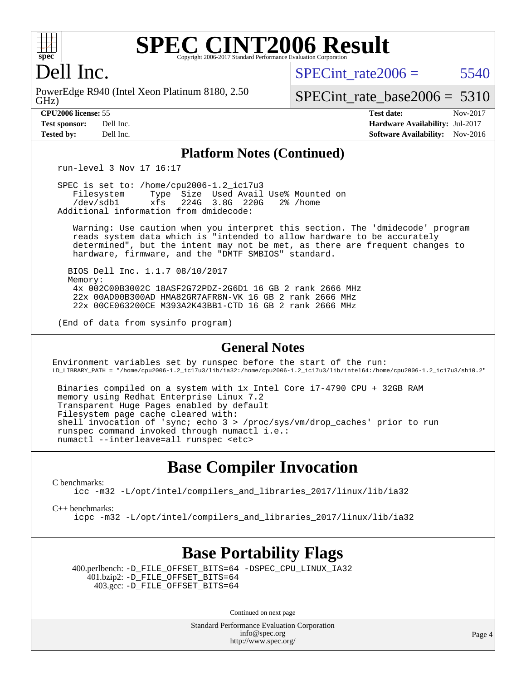

### **[SPEC CINT2006 Result](http://www.spec.org/auto/cpu2006/Docs/result-fields.html#SPECCINT2006Result)** Copyright 2006-2017 Standard Performance Evaluation C

### Dell Inc.

GHz) PowerEdge R940 (Intel Xeon Platinum 8180, 2.50 SPECint rate $2006 = 5540$ 

[SPECint\\_rate\\_base2006 =](http://www.spec.org/auto/cpu2006/Docs/result-fields.html#SPECintratebase2006) 5310

| <b>Test sponsor:</b> | Dell Inc. |
|----------------------|-----------|
| <b>Tested by:</b>    | Dell Inc. |

**[CPU2006 license:](http://www.spec.org/auto/cpu2006/Docs/result-fields.html#CPU2006license)** 55 **[Test date:](http://www.spec.org/auto/cpu2006/Docs/result-fields.html#Testdate)** Nov-2017 **[Hardware Availability:](http://www.spec.org/auto/cpu2006/Docs/result-fields.html#HardwareAvailability)** Jul-2017 **[Software Availability:](http://www.spec.org/auto/cpu2006/Docs/result-fields.html#SoftwareAvailability)** Nov-2016

#### **[Platform Notes \(Continued\)](http://www.spec.org/auto/cpu2006/Docs/result-fields.html#PlatformNotes)**

run-level 3 Nov 17 16:17

 SPEC is set to: /home/cpu2006-1.2\_ic17u3 Filesystem Type Size Used Avail Use% Mounted on<br>
/dev/sdb1 xfs 224G 3.8G 220G 2% /home 224G 3.8G 220G Additional information from dmidecode:

 Warning: Use caution when you interpret this section. The 'dmidecode' program reads system data which is "intended to allow hardware to be accurately determined", but the intent may not be met, as there are frequent changes to hardware, firmware, and the "DMTF SMBIOS" standard.

 BIOS Dell Inc. 1.1.7 08/10/2017 Memory: 4x 002C00B3002C 18ASF2G72PDZ-2G6D1 16 GB 2 rank 2666 MHz 22x 00AD00B300AD HMA82GR7AFR8N-VK 16 GB 2 rank 2666 MHz 22x 00CE063200CE M393A2K43BB1-CTD 16 GB 2 rank 2666 MHz

(End of data from sysinfo program)

#### **[General Notes](http://www.spec.org/auto/cpu2006/Docs/result-fields.html#GeneralNotes)**

Environment variables set by runspec before the start of the run: LD\_LIBRARY\_PATH = "/home/cpu2006-1.2\_ic17u3/lib/ia32:/home/cpu2006-1.2\_ic17u3/lib/intel64:/home/cpu2006-1.2\_ic17u3/sh10.2"

 Binaries compiled on a system with 1x Intel Core i7-4790 CPU + 32GB RAM memory using Redhat Enterprise Linux 7.2 Transparent Huge Pages enabled by default Filesystem page cache cleared with: shell invocation of 'sync; echo 3 > /proc/sys/vm/drop\_caches' prior to run runspec command invoked through numactl i.e.: numactl --interleave=all runspec <etc>

### **[Base Compiler Invocation](http://www.spec.org/auto/cpu2006/Docs/result-fields.html#BaseCompilerInvocation)**

[C benchmarks](http://www.spec.org/auto/cpu2006/Docs/result-fields.html#Cbenchmarks):

[icc -m32 -L/opt/intel/compilers\\_and\\_libraries\\_2017/linux/lib/ia32](http://www.spec.org/cpu2006/results/res2017q4/cpu2006-20171127-50743.flags.html#user_CCbase_intel_icc_c29f3ff5a7ed067b11e4ec10a03f03ae)

[C++ benchmarks:](http://www.spec.org/auto/cpu2006/Docs/result-fields.html#CXXbenchmarks)

[icpc -m32 -L/opt/intel/compilers\\_and\\_libraries\\_2017/linux/lib/ia32](http://www.spec.org/cpu2006/results/res2017q4/cpu2006-20171127-50743.flags.html#user_CXXbase_intel_icpc_8c35c7808b62dab9ae41a1aa06361b6b)

### **[Base Portability Flags](http://www.spec.org/auto/cpu2006/Docs/result-fields.html#BasePortabilityFlags)**

 400.perlbench: [-D\\_FILE\\_OFFSET\\_BITS=64](http://www.spec.org/cpu2006/results/res2017q4/cpu2006-20171127-50743.flags.html#user_basePORTABILITY400_perlbench_file_offset_bits_64_438cf9856305ebd76870a2c6dc2689ab) [-DSPEC\\_CPU\\_LINUX\\_IA32](http://www.spec.org/cpu2006/results/res2017q4/cpu2006-20171127-50743.flags.html#b400.perlbench_baseCPORTABILITY_DSPEC_CPU_LINUX_IA32) 401.bzip2: [-D\\_FILE\\_OFFSET\\_BITS=64](http://www.spec.org/cpu2006/results/res2017q4/cpu2006-20171127-50743.flags.html#user_basePORTABILITY401_bzip2_file_offset_bits_64_438cf9856305ebd76870a2c6dc2689ab) 403.gcc: [-D\\_FILE\\_OFFSET\\_BITS=64](http://www.spec.org/cpu2006/results/res2017q4/cpu2006-20171127-50743.flags.html#user_basePORTABILITY403_gcc_file_offset_bits_64_438cf9856305ebd76870a2c6dc2689ab)

Continued on next page

Standard Performance Evaluation Corporation [info@spec.org](mailto:info@spec.org) <http://www.spec.org/>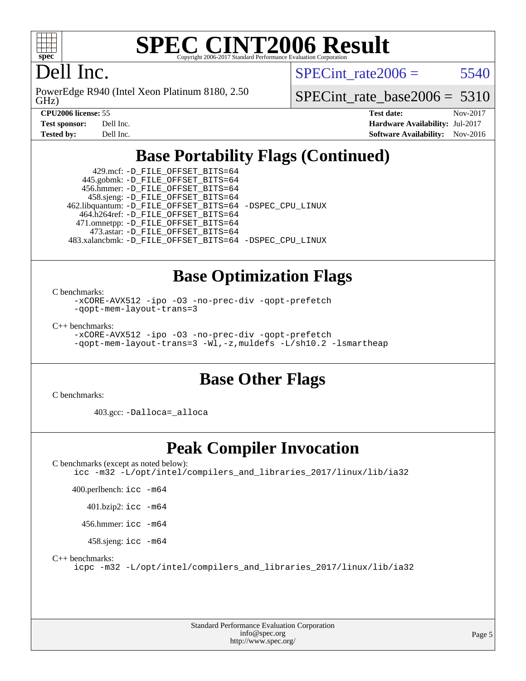

#### **[SPEC CINT2006 Result](http://www.spec.org/auto/cpu2006/Docs/result-fields.html#SPECCINT2006Result)** Copyright 2006-2017 Standard Performance Evaluation C

### Dell Inc.

GHz) PowerEdge R940 (Intel Xeon Platinum 8180, 2.50 SPECint rate $2006 = 5540$ 

[SPECint\\_rate\\_base2006 =](http://www.spec.org/auto/cpu2006/Docs/result-fields.html#SPECintratebase2006) 5310

**[CPU2006 license:](http://www.spec.org/auto/cpu2006/Docs/result-fields.html#CPU2006license)** 55 **[Test date:](http://www.spec.org/auto/cpu2006/Docs/result-fields.html#Testdate)** Nov-2017 **[Test sponsor:](http://www.spec.org/auto/cpu2006/Docs/result-fields.html#Testsponsor)** Dell Inc. **[Hardware Availability:](http://www.spec.org/auto/cpu2006/Docs/result-fields.html#HardwareAvailability)** Jul-2017 **[Tested by:](http://www.spec.org/auto/cpu2006/Docs/result-fields.html#Testedby)** Dell Inc. **[Software Availability:](http://www.spec.org/auto/cpu2006/Docs/result-fields.html#SoftwareAvailability)** Nov-2016

### **[Base Portability Flags \(Continued\)](http://www.spec.org/auto/cpu2006/Docs/result-fields.html#BasePortabilityFlags)**

 429.mcf: [-D\\_FILE\\_OFFSET\\_BITS=64](http://www.spec.org/cpu2006/results/res2017q4/cpu2006-20171127-50743.flags.html#user_basePORTABILITY429_mcf_file_offset_bits_64_438cf9856305ebd76870a2c6dc2689ab) 445.gobmk: [-D\\_FILE\\_OFFSET\\_BITS=64](http://www.spec.org/cpu2006/results/res2017q4/cpu2006-20171127-50743.flags.html#user_basePORTABILITY445_gobmk_file_offset_bits_64_438cf9856305ebd76870a2c6dc2689ab) 456.hmmer: [-D\\_FILE\\_OFFSET\\_BITS=64](http://www.spec.org/cpu2006/results/res2017q4/cpu2006-20171127-50743.flags.html#user_basePORTABILITY456_hmmer_file_offset_bits_64_438cf9856305ebd76870a2c6dc2689ab) 458.sjeng: [-D\\_FILE\\_OFFSET\\_BITS=64](http://www.spec.org/cpu2006/results/res2017q4/cpu2006-20171127-50743.flags.html#user_basePORTABILITY458_sjeng_file_offset_bits_64_438cf9856305ebd76870a2c6dc2689ab) 462.libquantum: [-D\\_FILE\\_OFFSET\\_BITS=64](http://www.spec.org/cpu2006/results/res2017q4/cpu2006-20171127-50743.flags.html#user_basePORTABILITY462_libquantum_file_offset_bits_64_438cf9856305ebd76870a2c6dc2689ab) [-DSPEC\\_CPU\\_LINUX](http://www.spec.org/cpu2006/results/res2017q4/cpu2006-20171127-50743.flags.html#b462.libquantum_baseCPORTABILITY_DSPEC_CPU_LINUX) 464.h264ref: [-D\\_FILE\\_OFFSET\\_BITS=64](http://www.spec.org/cpu2006/results/res2017q4/cpu2006-20171127-50743.flags.html#user_basePORTABILITY464_h264ref_file_offset_bits_64_438cf9856305ebd76870a2c6dc2689ab) 471.omnetpp: [-D\\_FILE\\_OFFSET\\_BITS=64](http://www.spec.org/cpu2006/results/res2017q4/cpu2006-20171127-50743.flags.html#user_basePORTABILITY471_omnetpp_file_offset_bits_64_438cf9856305ebd76870a2c6dc2689ab) 473.astar: [-D\\_FILE\\_OFFSET\\_BITS=64](http://www.spec.org/cpu2006/results/res2017q4/cpu2006-20171127-50743.flags.html#user_basePORTABILITY473_astar_file_offset_bits_64_438cf9856305ebd76870a2c6dc2689ab) 483.xalancbmk: [-D\\_FILE\\_OFFSET\\_BITS=64](http://www.spec.org/cpu2006/results/res2017q4/cpu2006-20171127-50743.flags.html#user_basePORTABILITY483_xalancbmk_file_offset_bits_64_438cf9856305ebd76870a2c6dc2689ab) [-DSPEC\\_CPU\\_LINUX](http://www.spec.org/cpu2006/results/res2017q4/cpu2006-20171127-50743.flags.html#b483.xalancbmk_baseCXXPORTABILITY_DSPEC_CPU_LINUX)

### **[Base Optimization Flags](http://www.spec.org/auto/cpu2006/Docs/result-fields.html#BaseOptimizationFlags)**

[C benchmarks](http://www.spec.org/auto/cpu2006/Docs/result-fields.html#Cbenchmarks):

[-xCORE-AVX512](http://www.spec.org/cpu2006/results/res2017q4/cpu2006-20171127-50743.flags.html#user_CCbase_f-xCORE-AVX512) [-ipo](http://www.spec.org/cpu2006/results/res2017q4/cpu2006-20171127-50743.flags.html#user_CCbase_f-ipo) [-O3](http://www.spec.org/cpu2006/results/res2017q4/cpu2006-20171127-50743.flags.html#user_CCbase_f-O3) [-no-prec-div](http://www.spec.org/cpu2006/results/res2017q4/cpu2006-20171127-50743.flags.html#user_CCbase_f-no-prec-div) [-qopt-prefetch](http://www.spec.org/cpu2006/results/res2017q4/cpu2006-20171127-50743.flags.html#user_CCbase_f-qopt-prefetch) [-qopt-mem-layout-trans=3](http://www.spec.org/cpu2006/results/res2017q4/cpu2006-20171127-50743.flags.html#user_CCbase_f-qopt-mem-layout-trans_170f5be61cd2cedc9b54468c59262d5d)

[C++ benchmarks:](http://www.spec.org/auto/cpu2006/Docs/result-fields.html#CXXbenchmarks)

[-xCORE-AVX512](http://www.spec.org/cpu2006/results/res2017q4/cpu2006-20171127-50743.flags.html#user_CXXbase_f-xCORE-AVX512) [-ipo](http://www.spec.org/cpu2006/results/res2017q4/cpu2006-20171127-50743.flags.html#user_CXXbase_f-ipo) [-O3](http://www.spec.org/cpu2006/results/res2017q4/cpu2006-20171127-50743.flags.html#user_CXXbase_f-O3) [-no-prec-div](http://www.spec.org/cpu2006/results/res2017q4/cpu2006-20171127-50743.flags.html#user_CXXbase_f-no-prec-div) [-qopt-prefetch](http://www.spec.org/cpu2006/results/res2017q4/cpu2006-20171127-50743.flags.html#user_CXXbase_f-qopt-prefetch) [-qopt-mem-layout-trans=3](http://www.spec.org/cpu2006/results/res2017q4/cpu2006-20171127-50743.flags.html#user_CXXbase_f-qopt-mem-layout-trans_170f5be61cd2cedc9b54468c59262d5d) [-Wl,-z,muldefs](http://www.spec.org/cpu2006/results/res2017q4/cpu2006-20171127-50743.flags.html#user_CXXbase_link_force_multiple1_74079c344b956b9658436fd1b6dd3a8a) [-L/sh10.2 -lsmartheap](http://www.spec.org/cpu2006/results/res2017q4/cpu2006-20171127-50743.flags.html#user_CXXbase_SmartHeap_b831f2d313e2fffa6dfe3f00ffc1f1c0)

### **[Base Other Flags](http://www.spec.org/auto/cpu2006/Docs/result-fields.html#BaseOtherFlags)**

[C benchmarks](http://www.spec.org/auto/cpu2006/Docs/result-fields.html#Cbenchmarks):

403.gcc: [-Dalloca=\\_alloca](http://www.spec.org/cpu2006/results/res2017q4/cpu2006-20171127-50743.flags.html#b403.gcc_baseEXTRA_CFLAGS_Dalloca_be3056838c12de2578596ca5467af7f3)

### **[Peak Compiler Invocation](http://www.spec.org/auto/cpu2006/Docs/result-fields.html#PeakCompilerInvocation)**

[C benchmarks \(except as noted below\)](http://www.spec.org/auto/cpu2006/Docs/result-fields.html#Cbenchmarksexceptasnotedbelow): [icc -m32 -L/opt/intel/compilers\\_and\\_libraries\\_2017/linux/lib/ia32](http://www.spec.org/cpu2006/results/res2017q4/cpu2006-20171127-50743.flags.html#user_CCpeak_intel_icc_c29f3ff5a7ed067b11e4ec10a03f03ae)

400.perlbench: [icc -m64](http://www.spec.org/cpu2006/results/res2017q4/cpu2006-20171127-50743.flags.html#user_peakCCLD400_perlbench_intel_icc_64bit_bda6cc9af1fdbb0edc3795bac97ada53)

401.bzip2: [icc -m64](http://www.spec.org/cpu2006/results/res2017q4/cpu2006-20171127-50743.flags.html#user_peakCCLD401_bzip2_intel_icc_64bit_bda6cc9af1fdbb0edc3795bac97ada53)

456.hmmer: [icc -m64](http://www.spec.org/cpu2006/results/res2017q4/cpu2006-20171127-50743.flags.html#user_peakCCLD456_hmmer_intel_icc_64bit_bda6cc9af1fdbb0edc3795bac97ada53)

458.sjeng: [icc -m64](http://www.spec.org/cpu2006/results/res2017q4/cpu2006-20171127-50743.flags.html#user_peakCCLD458_sjeng_intel_icc_64bit_bda6cc9af1fdbb0edc3795bac97ada53)

[C++ benchmarks:](http://www.spec.org/auto/cpu2006/Docs/result-fields.html#CXXbenchmarks)

[icpc -m32 -L/opt/intel/compilers\\_and\\_libraries\\_2017/linux/lib/ia32](http://www.spec.org/cpu2006/results/res2017q4/cpu2006-20171127-50743.flags.html#user_CXXpeak_intel_icpc_8c35c7808b62dab9ae41a1aa06361b6b)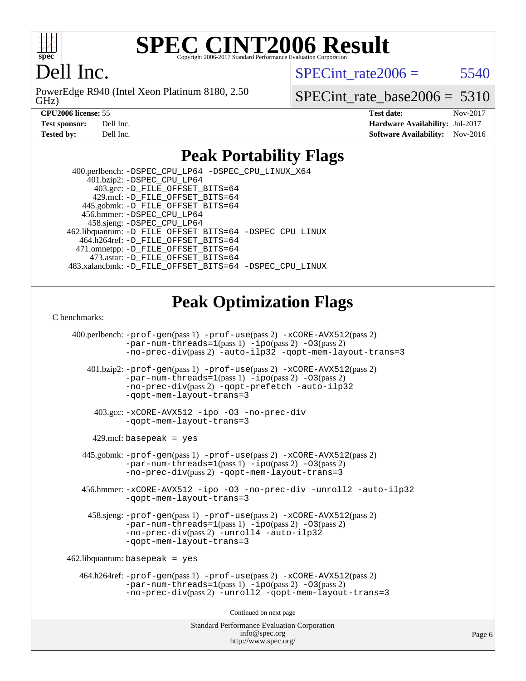

### **[SPEC CINT2006 Result](http://www.spec.org/auto/cpu2006/Docs/result-fields.html#SPECCINT2006Result)** Copyright 2006-2017 Standard Performance Evaluation

### Dell Inc.

GHz) PowerEdge R940 (Intel Xeon Platinum 8180, 2.50 SPECint rate $2006 = 5540$ 

[SPECint\\_rate\\_base2006 =](http://www.spec.org/auto/cpu2006/Docs/result-fields.html#SPECintratebase2006) 5310

| <b>Test sponsor:</b> | Dell Inc. |
|----------------------|-----------|
| Tested hv:           | Dell Inc. |

**[CPU2006 license:](http://www.spec.org/auto/cpu2006/Docs/result-fields.html#CPU2006license)** 55 **[Test date:](http://www.spec.org/auto/cpu2006/Docs/result-fields.html#Testdate)** Nov-2017 **[Hardware Availability:](http://www.spec.org/auto/cpu2006/Docs/result-fields.html#HardwareAvailability)** Jul-2017 **[Software Availability:](http://www.spec.org/auto/cpu2006/Docs/result-fields.html#SoftwareAvailability)** Nov-2016

### **[Peak Portability Flags](http://www.spec.org/auto/cpu2006/Docs/result-fields.html#PeakPortabilityFlags)**

 400.perlbench: [-DSPEC\\_CPU\\_LP64](http://www.spec.org/cpu2006/results/res2017q4/cpu2006-20171127-50743.flags.html#b400.perlbench_peakCPORTABILITY_DSPEC_CPU_LP64) [-DSPEC\\_CPU\\_LINUX\\_X64](http://www.spec.org/cpu2006/results/res2017q4/cpu2006-20171127-50743.flags.html#b400.perlbench_peakCPORTABILITY_DSPEC_CPU_LINUX_X64) 401.bzip2: [-DSPEC\\_CPU\\_LP64](http://www.spec.org/cpu2006/results/res2017q4/cpu2006-20171127-50743.flags.html#suite_peakCPORTABILITY401_bzip2_DSPEC_CPU_LP64) 403.gcc: [-D\\_FILE\\_OFFSET\\_BITS=64](http://www.spec.org/cpu2006/results/res2017q4/cpu2006-20171127-50743.flags.html#user_peakPORTABILITY403_gcc_file_offset_bits_64_438cf9856305ebd76870a2c6dc2689ab) 429.mcf: [-D\\_FILE\\_OFFSET\\_BITS=64](http://www.spec.org/cpu2006/results/res2017q4/cpu2006-20171127-50743.flags.html#user_peakPORTABILITY429_mcf_file_offset_bits_64_438cf9856305ebd76870a2c6dc2689ab) 445.gobmk: [-D\\_FILE\\_OFFSET\\_BITS=64](http://www.spec.org/cpu2006/results/res2017q4/cpu2006-20171127-50743.flags.html#user_peakPORTABILITY445_gobmk_file_offset_bits_64_438cf9856305ebd76870a2c6dc2689ab) 456.hmmer: [-DSPEC\\_CPU\\_LP64](http://www.spec.org/cpu2006/results/res2017q4/cpu2006-20171127-50743.flags.html#suite_peakCPORTABILITY456_hmmer_DSPEC_CPU_LP64) 458.sjeng: [-DSPEC\\_CPU\\_LP64](http://www.spec.org/cpu2006/results/res2017q4/cpu2006-20171127-50743.flags.html#suite_peakCPORTABILITY458_sjeng_DSPEC_CPU_LP64) 462.libquantum: [-D\\_FILE\\_OFFSET\\_BITS=64](http://www.spec.org/cpu2006/results/res2017q4/cpu2006-20171127-50743.flags.html#user_peakPORTABILITY462_libquantum_file_offset_bits_64_438cf9856305ebd76870a2c6dc2689ab) [-DSPEC\\_CPU\\_LINUX](http://www.spec.org/cpu2006/results/res2017q4/cpu2006-20171127-50743.flags.html#b462.libquantum_peakCPORTABILITY_DSPEC_CPU_LINUX) 464.h264ref: [-D\\_FILE\\_OFFSET\\_BITS=64](http://www.spec.org/cpu2006/results/res2017q4/cpu2006-20171127-50743.flags.html#user_peakPORTABILITY464_h264ref_file_offset_bits_64_438cf9856305ebd76870a2c6dc2689ab) 471.omnetpp: [-D\\_FILE\\_OFFSET\\_BITS=64](http://www.spec.org/cpu2006/results/res2017q4/cpu2006-20171127-50743.flags.html#user_peakPORTABILITY471_omnetpp_file_offset_bits_64_438cf9856305ebd76870a2c6dc2689ab) 473.astar: [-D\\_FILE\\_OFFSET\\_BITS=64](http://www.spec.org/cpu2006/results/res2017q4/cpu2006-20171127-50743.flags.html#user_peakPORTABILITY473_astar_file_offset_bits_64_438cf9856305ebd76870a2c6dc2689ab) 483.xalancbmk: [-D\\_FILE\\_OFFSET\\_BITS=64](http://www.spec.org/cpu2006/results/res2017q4/cpu2006-20171127-50743.flags.html#user_peakPORTABILITY483_xalancbmk_file_offset_bits_64_438cf9856305ebd76870a2c6dc2689ab) [-DSPEC\\_CPU\\_LINUX](http://www.spec.org/cpu2006/results/res2017q4/cpu2006-20171127-50743.flags.html#b483.xalancbmk_peakCXXPORTABILITY_DSPEC_CPU_LINUX)

### **[Peak Optimization Flags](http://www.spec.org/auto/cpu2006/Docs/result-fields.html#PeakOptimizationFlags)**

[C benchmarks](http://www.spec.org/auto/cpu2006/Docs/result-fields.html#Cbenchmarks):

Standard Performance Evaluation Corporation 400.perlbench: [-prof-gen](http://www.spec.org/cpu2006/results/res2017q4/cpu2006-20171127-50743.flags.html#user_peakPASS1_CFLAGSPASS1_LDCFLAGS400_perlbench_prof_gen_e43856698f6ca7b7e442dfd80e94a8fc)(pass 1) [-prof-use](http://www.spec.org/cpu2006/results/res2017q4/cpu2006-20171127-50743.flags.html#user_peakPASS2_CFLAGSPASS2_LDCFLAGS400_perlbench_prof_use_bccf7792157ff70d64e32fe3e1250b55)(pass 2) [-xCORE-AVX512](http://www.spec.org/cpu2006/results/res2017q4/cpu2006-20171127-50743.flags.html#user_peakPASS2_CFLAGSPASS2_LDCFLAGS400_perlbench_f-xCORE-AVX512)(pass 2) [-par-num-threads=1](http://www.spec.org/cpu2006/results/res2017q4/cpu2006-20171127-50743.flags.html#user_peakPASS1_CFLAGSPASS1_LDCFLAGS400_perlbench_par_num_threads_786a6ff141b4e9e90432e998842df6c2)(pass 1) [-ipo](http://www.spec.org/cpu2006/results/res2017q4/cpu2006-20171127-50743.flags.html#user_peakPASS2_CFLAGSPASS2_LDCFLAGS400_perlbench_f-ipo)(pass 2) [-O3](http://www.spec.org/cpu2006/results/res2017q4/cpu2006-20171127-50743.flags.html#user_peakPASS2_CFLAGSPASS2_LDCFLAGS400_perlbench_f-O3)(pass 2) [-no-prec-div](http://www.spec.org/cpu2006/results/res2017q4/cpu2006-20171127-50743.flags.html#user_peakPASS2_CFLAGSPASS2_LDCFLAGS400_perlbench_f-no-prec-div)(pass 2) [-auto-ilp32](http://www.spec.org/cpu2006/results/res2017q4/cpu2006-20171127-50743.flags.html#user_peakCOPTIMIZE400_perlbench_f-auto-ilp32) [-qopt-mem-layout-trans=3](http://www.spec.org/cpu2006/results/res2017q4/cpu2006-20171127-50743.flags.html#user_peakCOPTIMIZE400_perlbench_f-qopt-mem-layout-trans_170f5be61cd2cedc9b54468c59262d5d) 401.bzip2: [-prof-gen](http://www.spec.org/cpu2006/results/res2017q4/cpu2006-20171127-50743.flags.html#user_peakPASS1_CFLAGSPASS1_LDCFLAGS401_bzip2_prof_gen_e43856698f6ca7b7e442dfd80e94a8fc)(pass 1) [-prof-use](http://www.spec.org/cpu2006/results/res2017q4/cpu2006-20171127-50743.flags.html#user_peakPASS2_CFLAGSPASS2_LDCFLAGS401_bzip2_prof_use_bccf7792157ff70d64e32fe3e1250b55)(pass 2) [-xCORE-AVX512](http://www.spec.org/cpu2006/results/res2017q4/cpu2006-20171127-50743.flags.html#user_peakPASS2_CFLAGSPASS2_LDCFLAGS401_bzip2_f-xCORE-AVX512)(pass 2) [-par-num-threads=1](http://www.spec.org/cpu2006/results/res2017q4/cpu2006-20171127-50743.flags.html#user_peakPASS1_CFLAGSPASS1_LDCFLAGS401_bzip2_par_num_threads_786a6ff141b4e9e90432e998842df6c2)(pass 1) [-ipo](http://www.spec.org/cpu2006/results/res2017q4/cpu2006-20171127-50743.flags.html#user_peakPASS2_CFLAGSPASS2_LDCFLAGS401_bzip2_f-ipo)(pass 2) [-O3](http://www.spec.org/cpu2006/results/res2017q4/cpu2006-20171127-50743.flags.html#user_peakPASS2_CFLAGSPASS2_LDCFLAGS401_bzip2_f-O3)(pass 2) [-no-prec-div](http://www.spec.org/cpu2006/results/res2017q4/cpu2006-20171127-50743.flags.html#user_peakPASS2_CFLAGSPASS2_LDCFLAGS401_bzip2_f-no-prec-div)(pass 2) [-qopt-prefetch](http://www.spec.org/cpu2006/results/res2017q4/cpu2006-20171127-50743.flags.html#user_peakCOPTIMIZE401_bzip2_f-qopt-prefetch) [-auto-ilp32](http://www.spec.org/cpu2006/results/res2017q4/cpu2006-20171127-50743.flags.html#user_peakCOPTIMIZE401_bzip2_f-auto-ilp32) [-qopt-mem-layout-trans=3](http://www.spec.org/cpu2006/results/res2017q4/cpu2006-20171127-50743.flags.html#user_peakCOPTIMIZE401_bzip2_f-qopt-mem-layout-trans_170f5be61cd2cedc9b54468c59262d5d) 403.gcc: [-xCORE-AVX512](http://www.spec.org/cpu2006/results/res2017q4/cpu2006-20171127-50743.flags.html#user_peakOPTIMIZE403_gcc_f-xCORE-AVX512) [-ipo](http://www.spec.org/cpu2006/results/res2017q4/cpu2006-20171127-50743.flags.html#user_peakOPTIMIZE403_gcc_f-ipo) [-O3](http://www.spec.org/cpu2006/results/res2017q4/cpu2006-20171127-50743.flags.html#user_peakOPTIMIZE403_gcc_f-O3) [-no-prec-div](http://www.spec.org/cpu2006/results/res2017q4/cpu2006-20171127-50743.flags.html#user_peakOPTIMIZE403_gcc_f-no-prec-div) [-qopt-mem-layout-trans=3](http://www.spec.org/cpu2006/results/res2017q4/cpu2006-20171127-50743.flags.html#user_peakCOPTIMIZE403_gcc_f-qopt-mem-layout-trans_170f5be61cd2cedc9b54468c59262d5d)  $429$ .mcf: basepeak = yes 445.gobmk: [-prof-gen](http://www.spec.org/cpu2006/results/res2017q4/cpu2006-20171127-50743.flags.html#user_peakPASS1_CFLAGSPASS1_LDCFLAGS445_gobmk_prof_gen_e43856698f6ca7b7e442dfd80e94a8fc)(pass 1) [-prof-use](http://www.spec.org/cpu2006/results/res2017q4/cpu2006-20171127-50743.flags.html#user_peakPASS2_CFLAGSPASS2_LDCFLAGSPASS2_LDFLAGS445_gobmk_prof_use_bccf7792157ff70d64e32fe3e1250b55)(pass 2) [-xCORE-AVX512](http://www.spec.org/cpu2006/results/res2017q4/cpu2006-20171127-50743.flags.html#user_peakPASS2_CFLAGSPASS2_LDCFLAGSPASS2_LDFLAGS445_gobmk_f-xCORE-AVX512)(pass 2) [-par-num-threads=1](http://www.spec.org/cpu2006/results/res2017q4/cpu2006-20171127-50743.flags.html#user_peakPASS1_CFLAGSPASS1_LDCFLAGS445_gobmk_par_num_threads_786a6ff141b4e9e90432e998842df6c2)(pass 1) [-ipo](http://www.spec.org/cpu2006/results/res2017q4/cpu2006-20171127-50743.flags.html#user_peakPASS2_LDCFLAGS445_gobmk_f-ipo)(pass 2) [-O3](http://www.spec.org/cpu2006/results/res2017q4/cpu2006-20171127-50743.flags.html#user_peakPASS2_LDCFLAGS445_gobmk_f-O3)(pass 2) [-no-prec-div](http://www.spec.org/cpu2006/results/res2017q4/cpu2006-20171127-50743.flags.html#user_peakPASS2_LDCFLAGS445_gobmk_f-no-prec-div)(pass 2) [-qopt-mem-layout-trans=3](http://www.spec.org/cpu2006/results/res2017q4/cpu2006-20171127-50743.flags.html#user_peakCOPTIMIZE445_gobmk_f-qopt-mem-layout-trans_170f5be61cd2cedc9b54468c59262d5d) 456.hmmer: [-xCORE-AVX512](http://www.spec.org/cpu2006/results/res2017q4/cpu2006-20171127-50743.flags.html#user_peakOPTIMIZE456_hmmer_f-xCORE-AVX512) [-ipo](http://www.spec.org/cpu2006/results/res2017q4/cpu2006-20171127-50743.flags.html#user_peakOPTIMIZE456_hmmer_f-ipo) [-O3](http://www.spec.org/cpu2006/results/res2017q4/cpu2006-20171127-50743.flags.html#user_peakOPTIMIZE456_hmmer_f-O3) [-no-prec-div](http://www.spec.org/cpu2006/results/res2017q4/cpu2006-20171127-50743.flags.html#user_peakOPTIMIZE456_hmmer_f-no-prec-div) [-unroll2](http://www.spec.org/cpu2006/results/res2017q4/cpu2006-20171127-50743.flags.html#user_peakCOPTIMIZE456_hmmer_f-unroll_784dae83bebfb236979b41d2422d7ec2) [-auto-ilp32](http://www.spec.org/cpu2006/results/res2017q4/cpu2006-20171127-50743.flags.html#user_peakCOPTIMIZE456_hmmer_f-auto-ilp32) [-qopt-mem-layout-trans=3](http://www.spec.org/cpu2006/results/res2017q4/cpu2006-20171127-50743.flags.html#user_peakCOPTIMIZE456_hmmer_f-qopt-mem-layout-trans_170f5be61cd2cedc9b54468c59262d5d) 458.sjeng: [-prof-gen](http://www.spec.org/cpu2006/results/res2017q4/cpu2006-20171127-50743.flags.html#user_peakPASS1_CFLAGSPASS1_LDCFLAGS458_sjeng_prof_gen_e43856698f6ca7b7e442dfd80e94a8fc)(pass 1) [-prof-use](http://www.spec.org/cpu2006/results/res2017q4/cpu2006-20171127-50743.flags.html#user_peakPASS2_CFLAGSPASS2_LDCFLAGS458_sjeng_prof_use_bccf7792157ff70d64e32fe3e1250b55)(pass 2) [-xCORE-AVX512](http://www.spec.org/cpu2006/results/res2017q4/cpu2006-20171127-50743.flags.html#user_peakPASS2_CFLAGSPASS2_LDCFLAGS458_sjeng_f-xCORE-AVX512)(pass 2) [-par-num-threads=1](http://www.spec.org/cpu2006/results/res2017q4/cpu2006-20171127-50743.flags.html#user_peakPASS1_CFLAGSPASS1_LDCFLAGS458_sjeng_par_num_threads_786a6ff141b4e9e90432e998842df6c2)(pass 1) [-ipo](http://www.spec.org/cpu2006/results/res2017q4/cpu2006-20171127-50743.flags.html#user_peakPASS2_CFLAGSPASS2_LDCFLAGS458_sjeng_f-ipo)(pass 2) [-O3](http://www.spec.org/cpu2006/results/res2017q4/cpu2006-20171127-50743.flags.html#user_peakPASS2_CFLAGSPASS2_LDCFLAGS458_sjeng_f-O3)(pass 2) [-no-prec-div](http://www.spec.org/cpu2006/results/res2017q4/cpu2006-20171127-50743.flags.html#user_peakPASS2_CFLAGSPASS2_LDCFLAGS458_sjeng_f-no-prec-div)(pass 2) [-unroll4](http://www.spec.org/cpu2006/results/res2017q4/cpu2006-20171127-50743.flags.html#user_peakCOPTIMIZE458_sjeng_f-unroll_4e5e4ed65b7fd20bdcd365bec371b81f) [-auto-ilp32](http://www.spec.org/cpu2006/results/res2017q4/cpu2006-20171127-50743.flags.html#user_peakCOPTIMIZE458_sjeng_f-auto-ilp32) [-qopt-mem-layout-trans=3](http://www.spec.org/cpu2006/results/res2017q4/cpu2006-20171127-50743.flags.html#user_peakCOPTIMIZE458_sjeng_f-qopt-mem-layout-trans_170f5be61cd2cedc9b54468c59262d5d)  $462$ .libquantum: basepeak = yes 464.h264ref: [-prof-gen](http://www.spec.org/cpu2006/results/res2017q4/cpu2006-20171127-50743.flags.html#user_peakPASS1_CFLAGSPASS1_LDCFLAGS464_h264ref_prof_gen_e43856698f6ca7b7e442dfd80e94a8fc)(pass 1) [-prof-use](http://www.spec.org/cpu2006/results/res2017q4/cpu2006-20171127-50743.flags.html#user_peakPASS2_CFLAGSPASS2_LDCFLAGS464_h264ref_prof_use_bccf7792157ff70d64e32fe3e1250b55)(pass 2) [-xCORE-AVX512](http://www.spec.org/cpu2006/results/res2017q4/cpu2006-20171127-50743.flags.html#user_peakPASS2_CFLAGSPASS2_LDCFLAGS464_h264ref_f-xCORE-AVX512)(pass 2)  $-par-num-threads=1(pass 1) -ipo(pass 2) -O3(pass 2)$  $-par-num-threads=1(pass 1) -ipo(pass 2) -O3(pass 2)$  $-par-num-threads=1(pass 1) -ipo(pass 2) -O3(pass 2)$  $-par-num-threads=1(pass 1) -ipo(pass 2) -O3(pass 2)$  $-par-num-threads=1(pass 1) -ipo(pass 2) -O3(pass 2)$  $-par-num-threads=1(pass 1) -ipo(pass 2) -O3(pass 2)$ [-no-prec-div](http://www.spec.org/cpu2006/results/res2017q4/cpu2006-20171127-50743.flags.html#user_peakPASS2_CFLAGSPASS2_LDCFLAGS464_h264ref_f-no-prec-div)(pass 2) [-unroll2](http://www.spec.org/cpu2006/results/res2017q4/cpu2006-20171127-50743.flags.html#user_peakCOPTIMIZE464_h264ref_f-unroll_784dae83bebfb236979b41d2422d7ec2) [-qopt-mem-layout-trans=3](http://www.spec.org/cpu2006/results/res2017q4/cpu2006-20171127-50743.flags.html#user_peakCOPTIMIZE464_h264ref_f-qopt-mem-layout-trans_170f5be61cd2cedc9b54468c59262d5d) Continued on next page

[info@spec.org](mailto:info@spec.org) <http://www.spec.org/>

Page 6